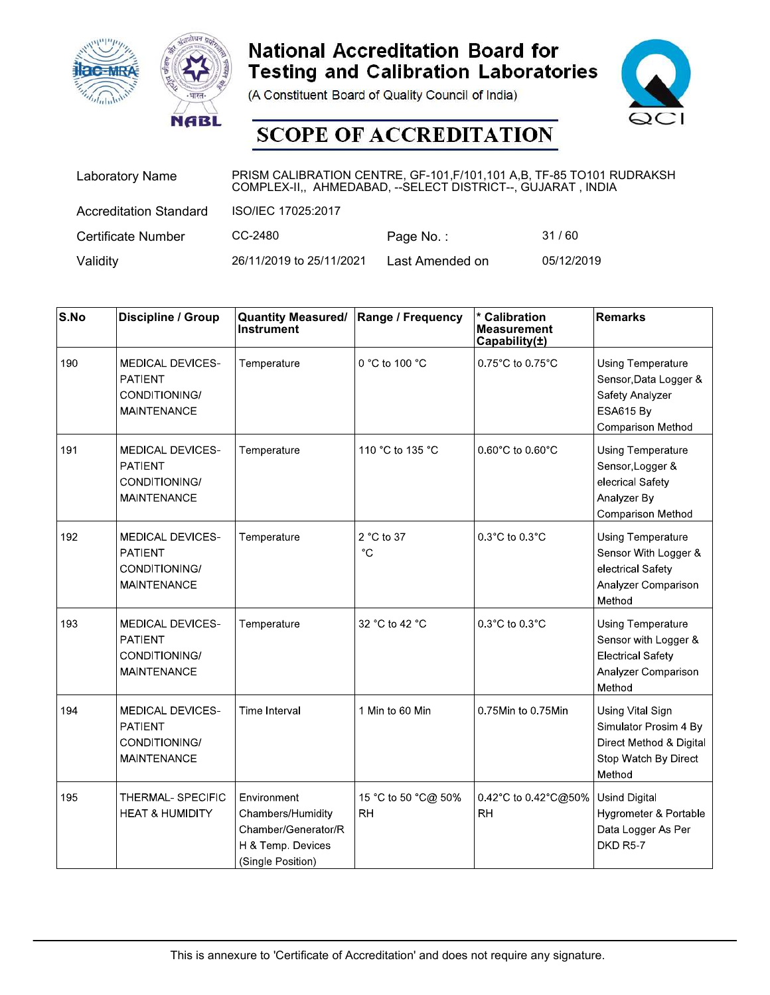





| <b>ac-MRA</b> | <b>NABL</b>                   |                                                                                                                                         | <b>National Accreditation Board for</b><br><b>Testing and Calibration Laboratories</b><br>(A Constituent Board of Quality Council of India)<br><b>SCOPE OF ACCREDITATION</b> |                                                                | QCI                   |
|---------------|-------------------------------|-----------------------------------------------------------------------------------------------------------------------------------------|------------------------------------------------------------------------------------------------------------------------------------------------------------------------------|----------------------------------------------------------------|-----------------------|
|               | <b>Laboratory Name</b>        | PRISM CALIBRATION CENTRE, GF-101, F/101, 101 A, B, TF-85 TO101 RUDRAKSH<br>COMPLEX-II,, AHMEDABAD, -- SELECT DISTRICT--, GUJARAT, INDIA |                                                                                                                                                                              |                                                                |                       |
|               | <b>Accreditation Standard</b> | ISO/IEC 17025:2017                                                                                                                      |                                                                                                                                                                              |                                                                |                       |
|               | Certificate Number            | CC-2480                                                                                                                                 | Page No.:                                                                                                                                                                    | 31/60                                                          |                       |
| Validity      |                               | 26/11/2019 to 25/11/2021                                                                                                                | Last Amended on                                                                                                                                                              | 05/12/2019                                                     |                       |
|               |                               |                                                                                                                                         |                                                                                                                                                                              |                                                                |                       |
| S.No          | Discipline / Group            | <b>Quantity Measured/</b><br>Instrument                                                                                                 | Range / Frequency                                                                                                                                                            | <b>Calibration</b><br><b>Measurement</b><br>Capability $(\pm)$ | <b>Remarks</b>        |
| 190           | MEDICAL DEVICES-              | Temperature                                                                                                                             | 0 °C to 100 $^{\circ}$ C                                                                                                                                                     | 0.75 $^{\circ}$ C to 0.75 $^{\circ}$ C                         | Using Temperature     |
|               | <b>PATIENT</b>                |                                                                                                                                         |                                                                                                                                                                              |                                                                | Sensor, Data Logger & |
|               | CONDITIONING/                 |                                                                                                                                         |                                                                                                                                                                              |                                                                | Safety Analyzer       |

| <b>Hac-MRA</b>           | <b>NABL</b>                                                                      |                                                                                                   | <b>National Accreditation Board for</b><br>(A Constituent Board of Quality Council of India)<br><b>SCOPE OF ACCREDITATION</b> | <b>Testing and Calibration Laboratories</b>                                                                                            |                                                                                                        |
|--------------------------|----------------------------------------------------------------------------------|---------------------------------------------------------------------------------------------------|-------------------------------------------------------------------------------------------------------------------------------|----------------------------------------------------------------------------------------------------------------------------------------|--------------------------------------------------------------------------------------------------------|
|                          | <b>Laboratory Name</b>                                                           |                                                                                                   |                                                                                                                               | PRISM CALIBRATION CENTRE, GF-101, F/101, 101 A,B, TF-85 TO101 RUDRAKSH<br>COMPLEX-II,, AHMEDABAD, -- SELECT DISTRICT--, GUJARAT, INDIA |                                                                                                        |
|                          | <b>Accreditation Standard</b>                                                    | ISO/IEC 17025:2017                                                                                |                                                                                                                               |                                                                                                                                        |                                                                                                        |
|                          | <b>Certificate Number</b>                                                        | CC-2480                                                                                           | Page No.:                                                                                                                     | 31/60                                                                                                                                  |                                                                                                        |
| Validity                 |                                                                                  | 26/11/2019 to 25/11/2021                                                                          | Last Amended on                                                                                                               | 05/12/2019                                                                                                                             |                                                                                                        |
| $\mathsf{S}.\mathsf{No}$ | Discipline / Group                                                               | <b>Quantity Measured/</b><br><b>Instrument</b>                                                    | Range / Frequency                                                                                                             | * Calibration<br><b>Measurement</b><br>Capability(±)                                                                                   | Remarks                                                                                                |
| 190                      | <b>MEDICAL DEVICES-</b><br><b>PATIENT</b><br>CONDITIONING/<br><b>MAINTENANCE</b> | Temperature                                                                                       | 0 °C to 100 °C                                                                                                                | 0.75°C to 0.75°C                                                                                                                       | Using Temperature<br>Sensor, Data Logger &<br>Safety Analyzer<br>ESA615 By<br>Comparison Method        |
| 191                      | <b>MEDICAL DEVICES-</b><br><b>PATIENT</b><br>CONDITIONING/<br><b>MAINTENANCE</b> | Temperature                                                                                       | 110 °C to 135 °C                                                                                                              | $0.60^{\circ}$ C to $0.60^{\circ}$ C                                                                                                   | <b>Using Temperature</b><br>Sensor, Logger &<br>elecrical Safety<br>Analyzer By<br>Comparison Method   |
| 192                      | <b>MEDICAL DEVICES-</b><br>PATIENT<br>CONDITIONING/<br><b>MAINTENANCE</b>        | Temperature                                                                                       | 2 °C to 37<br>$^{\circ} \mathrm C$                                                                                            | $0.3^{\circ}$ C to $0.3^{\circ}$ C                                                                                                     | <b>Using Temperature</b><br>Sensor With Logger &<br>electrical Safety<br>Analyzer Comparison<br>Method |
| 193                      | <b>MEDICAL DEVICES-</b><br><b>PATIENT</b><br>CONDITIONING/<br><b>MAINTENANCE</b> | Temperature                                                                                       | 32 °C to 42 °C                                                                                                                | $0.3^{\circ}$ C to $0.3^{\circ}$ C                                                                                                     | Using Temperature<br>Sensor with Logger &<br><b>Electrical Safety</b><br>Analyzer Comparison<br>Method |
| 194                      | <b>MEDICAL DEVICES-</b><br>PATIENT<br>CONDITIONING/<br><b>MAINTENANCE</b>        | Time Interval                                                                                     | 1 Min to 60 Min                                                                                                               | 0.75Min to 0.75Min                                                                                                                     | Using Vital Sign<br>Simulator Prosim 4 By<br>Direct Method & Digital<br>Stop Watch By Direct<br>Method |
| 195                      | THERMAL-SPECIFIC<br><b>HEAT &amp; HUMIDITY</b>                                   | Environment<br>Chambers/Humidity<br>Chamber/Generator/R<br>H & Temp. Devices<br>(Single Position) | 15 °C to 50 °C@ 50%<br><b>RH</b>                                                                                              | 042°C to 042°C@50%<br><b>RH</b>                                                                                                        | <b>Usind Digital</b><br>Hygrometer & Portable<br>Data Logger As Per<br>DKD R5-7                        |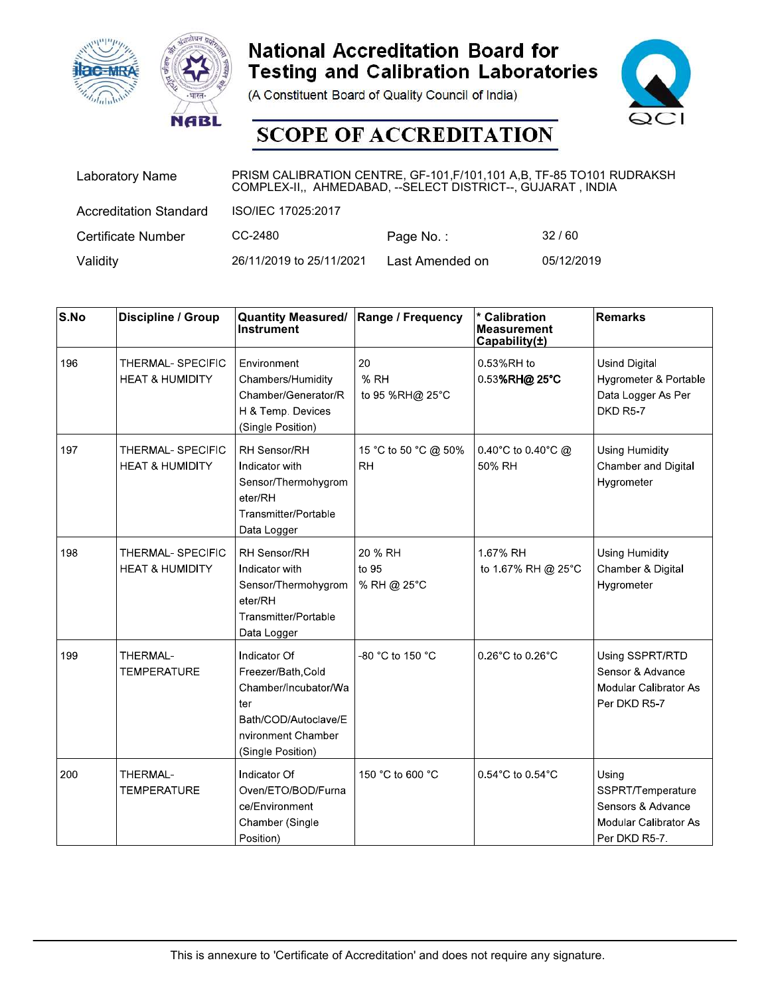





| <b>ac-MRA</b> | <b>NABL</b>                   |                                                                                                                                         | <b>National Accreditation Board for</b><br><b>Testing and Calibration Laboratories</b><br>(A Constituent Board of Quality Council of India)<br><b>SCOPE OF ACCREDITATION</b> |                                                                | $\infty$              |
|---------------|-------------------------------|-----------------------------------------------------------------------------------------------------------------------------------------|------------------------------------------------------------------------------------------------------------------------------------------------------------------------------|----------------------------------------------------------------|-----------------------|
|               | Laboratory Name               | PRISM CALIBRATION CENTRE, GF-101, F/101, 101 A, B, TF-85 TO101 RUDRAKSH<br>COMPLEX-II,, AHMEDABAD, -- SELECT DISTRICT--, GUJARAT, INDIA |                                                                                                                                                                              |                                                                |                       |
|               | <b>Accreditation Standard</b> | ISO/IEC 17025:2017                                                                                                                      |                                                                                                                                                                              |                                                                |                       |
|               | Certificate Number            | CC-2480                                                                                                                                 | Page No.:                                                                                                                                                                    | 32/60                                                          |                       |
| Validity      |                               | 26/11/2019 to 25/11/2021                                                                                                                | Last Amended on                                                                                                                                                              | 05/12/2019                                                     |                       |
|               |                               |                                                                                                                                         |                                                                                                                                                                              |                                                                |                       |
| S.No          | Discipline / Group            | <b>Quantity Measured/</b><br>Instrument                                                                                                 | Range / Frequency                                                                                                                                                            | <b>Calibration</b><br><b>Measurement</b><br>Capability $(\pm)$ | <b>Remarks</b>        |
| 196           | THERMAL-SPECIFIC              | Environment                                                                                                                             | 20                                                                                                                                                                           | 0.53%RH to                                                     | Usind Digital         |
|               | <b>HEAT &amp; HUMIDITY</b>    | Chambers/Humidity                                                                                                                       | % RH                                                                                                                                                                         | 0.53%RH@ 25°C                                                  | Hygrometer & Portable |
|               |                               | Chamber/Generator/R                                                                                                                     | to 95 %RH@ 25°C                                                                                                                                                              |                                                                | Data Logger As Per    |

|                          | <b>IC-MRA</b><br><b>NABL</b>                   |                                                                                                                                        | <b>National Accreditation Board for</b><br>(A Constituent Board of Quality Council of India)<br><b>SCOPE OF ACCREDITATION</b> | <b>Testing and Calibration Laboratories</b>          |                                                                                          |
|--------------------------|------------------------------------------------|----------------------------------------------------------------------------------------------------------------------------------------|-------------------------------------------------------------------------------------------------------------------------------|------------------------------------------------------|------------------------------------------------------------------------------------------|
|                          | <b>Laboratory Name</b>                         | PRISM CALIBRATION CENTRE, GF-101, F/101, 101 A,B, TF-85 TO101 RUDRAKSH<br>COMPLEX-II,, AHMEDABAD, -- SELECT DISTRICT--, GUJARAT, INDIA |                                                                                                                               |                                                      |                                                                                          |
|                          | <b>Accreditation Standard</b>                  | ISO/IEC 17025:2017                                                                                                                     |                                                                                                                               |                                                      |                                                                                          |
|                          | <b>Certificate Number</b>                      | CC-2480                                                                                                                                | Page No.:                                                                                                                     | 32/60                                                |                                                                                          |
| Validity                 |                                                | 26/11/2019 to 25/11/2021                                                                                                               | Last Amended on                                                                                                               | 05/12/2019                                           |                                                                                          |
| $\mathsf{S}.\mathsf{No}$ | Discipline / Group                             | <b>Quantity Measured/</b><br><b>Instrument</b>                                                                                         | Range / Frequency                                                                                                             | * Calibration<br><b>Measurement</b><br>Capability(±) | Remarks                                                                                  |
| 196                      | THERMAL-SPECIFIC<br><b>HEAT &amp; HUMIDITY</b> | Environment<br>Chambers/Humidity<br>Chamber/Generator/R<br>H & Temp. Devices<br>(Single Position)                                      | 20<br>% RH<br>to 95 %RH@ 25°C                                                                                                 | 0.53%RH to<br>0.53%RH@25°C                           | <b>Usind Digital</b><br>Hygrometer & Portable<br>Data Logger As Per<br>DKD R5-7          |
| 197                      | THERMAL-SPECIFIC<br><b>HEAT &amp; HUMIDITY</b> | RH Sensor/RH<br>Indicator with<br>Sensor/Thermohygrom<br>eter/RH<br>Transmitter/Portable<br>Data Logger                                | 15 °C to 50 °C @ 50%<br><b>RH</b>                                                                                             | 0.40°C to 0.40°C $@$<br>50% RH                       | Using Humidity<br>Chamber and Digital<br>Hygrometer                                      |
| 198                      | THERMAL-SPECIFIC<br><b>HEAT &amp; HUMIDITY</b> | RH Sensor/RH<br>Indicator with<br>Sensor/Thermohygrom<br>eter/RH<br>Transmitter/Portable<br>Data Logger                                | 20 % RH<br>to 95<br>% RH @ 25°C                                                                                               | 1.67% RH<br>to 1.67% RH @ 25°C                       | Using Humidity<br>Chamber & Digital<br>Hygrometer                                        |
| 199                      | THERMAL-<br><b>TEMPERATURE</b>                 | Indicator Of<br>Freezer/Bath, Cold<br>Chamber/Incubator/Wa<br>ter<br>Bath/COD/Autoclave/E<br>nvironment Chamber<br>(Single Position)   | -80 °C to 150 °C                                                                                                              | 0.26°C to 0.26°C                                     | Using SSPRT/RTD<br>Sensor & Advance<br>Modular Calibrator As<br>Per DKD R5-7             |
| 200                      | THERMAL-<br><b>TEMPERATURE</b>                 | Indicator Of<br>Oven/ETO/BOD/Furna<br>ce/Environment<br>Chamber (Single<br>Position)                                                   | 150 °C to 600 °C                                                                                                              | 0.54°C to 0.54°C                                     | Using<br>SSPRT/Temperature<br>Sensors & Advance<br>Modular Calibrator As<br>Per DKD R5-7 |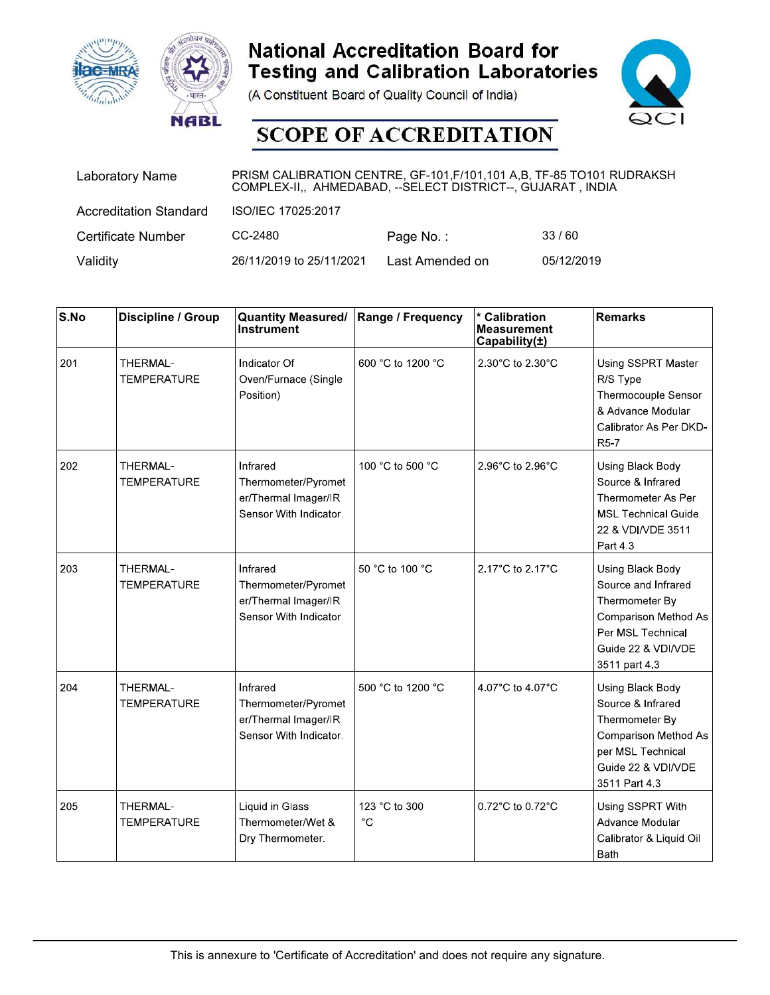





| <b>ac-MRA</b> | <b>NABL</b>                   |                                                                                                                                         | <b>National Accreditation Board for</b><br><b>Testing and Calibration Laboratories</b><br>(A Constituent Board of Quality Council of India)<br><b>SCOPE OF ACCREDITATION</b> |                                                                | QCI                 |
|---------------|-------------------------------|-----------------------------------------------------------------------------------------------------------------------------------------|------------------------------------------------------------------------------------------------------------------------------------------------------------------------------|----------------------------------------------------------------|---------------------|
|               | <b>Laboratory Name</b>        | PRISM CALIBRATION CENTRE, GF-101, F/101, 101 A, B, TF-85 TO101 RUDRAKSH<br>COMPLEX-II,, AHMEDABAD, -- SELECT DISTRICT--, GUJARAT, INDIA |                                                                                                                                                                              |                                                                |                     |
|               | <b>Accreditation Standard</b> | ISO/IEC 17025:2017                                                                                                                      |                                                                                                                                                                              |                                                                |                     |
|               | <b>Certificate Number</b>     | CC-2480                                                                                                                                 | Page No.:                                                                                                                                                                    | 33/60                                                          |                     |
| Validity      |                               | 26/11/2019 to 25/11/2021                                                                                                                | Last Amended on                                                                                                                                                              | 05/12/2019                                                     |                     |
|               |                               |                                                                                                                                         |                                                                                                                                                                              |                                                                |                     |
| S.No          | Discipline / Group            | <b>Quantity Measured/</b><br>Instrument                                                                                                 | Range / Frequency                                                                                                                                                            | <b>Calibration</b><br><b>Measurement</b><br>Capability $(\pm)$ | <b>Remarks</b>      |
| 201           | THERMAL-                      | Indicator Of                                                                                                                            | 600 °C to 1200 °C                                                                                                                                                            | 2 30 $^{\circ}$ C to 2 30 $^{\circ}$ C                         | Using SSPRT Master  |
|               | TEMPERATURE                   | Oven/Furnace (Single                                                                                                                    |                                                                                                                                                                              |                                                                | R/S Type            |
|               |                               | Position)                                                                                                                               |                                                                                                                                                                              |                                                                | Thermocouple Sensor |

|          | <b>ac-MRA</b><br><b>NABL</b>   |                                                                                                                                        | <b>National Accreditation Board for</b><br><b>Testing and Calibration Laboratories</b><br>(A Constituent Board of Quality Council of India)<br><b>SCOPE OF ACCREDITATION</b> |                                                      |                                                                                                                                               |
|----------|--------------------------------|----------------------------------------------------------------------------------------------------------------------------------------|------------------------------------------------------------------------------------------------------------------------------------------------------------------------------|------------------------------------------------------|-----------------------------------------------------------------------------------------------------------------------------------------------|
|          | <b>Laboratory Name</b>         | PRISM CALIBRATION CENTRE, GF-101, F/101, 101 A,B, TF-85 TO101 RUDRAKSH<br>COMPLEX-II,, AHMEDABAD, -- SELECT DISTRICT--, GUJARAT, INDIA |                                                                                                                                                                              |                                                      |                                                                                                                                               |
|          | <b>Accreditation Standard</b>  | ISO/IEC 17025:2017                                                                                                                     |                                                                                                                                                                              |                                                      |                                                                                                                                               |
|          | <b>Certificate Number</b>      | CC-2480                                                                                                                                | Page No.:                                                                                                                                                                    | 33/60                                                |                                                                                                                                               |
| Validity |                                | 26/11/2019 to 25/11/2021                                                                                                               | Last Amended on                                                                                                                                                              | 05/12/2019                                           |                                                                                                                                               |
| S.No     | Discipline / Group             | <b>Quantity Measured/</b><br><b>Instrument</b>                                                                                         | Range / Frequency                                                                                                                                                            | * Calibration<br><b>Measurement</b><br>Capability(±) | Remarks                                                                                                                                       |
| 201      | THERMAL-<br><b>TEMPERATURE</b> | Indicator Of<br>Oven/Furnace (Single<br>Position)                                                                                      | 600 °C to 1200 °C                                                                                                                                                            | 2 30°C to 2 30°C                                     | Using SSPRT Master<br>R/S Type<br>Thermocouple Sensor<br>& Advance Modular<br>Calibrator As Per DKD-<br>R <sub>5</sub> 7                      |
| 202      | THERMAL-<br><b>TEMPERATURE</b> | Infrared<br>Thermometer/Pyromet<br>er/Thermal Imager/IR<br>Sensor With Indicator.                                                      | 100 °C to 500 °C                                                                                                                                                             | 2 96°C to 2 96°C                                     | Using Black Body<br>Source & Infrared<br>Thermometer As Per<br><b>MSL Technical Guide</b><br>22 & VDI/VDE 3511<br>Part 43                     |
| 203      | THERMAL-<br><b>TEMPERATURE</b> | Infrared<br>Thermometer/Pyromet<br>er/Thermal Imager/IR<br>Sensor With Indicator.                                                      | 50 °C to 100 °C                                                                                                                                                              | 2.17°C to 2.17°C                                     | Using Black Body<br>Source and Infrared<br>Thermometer By<br>Comparison Method As<br>Per MSL Technical<br>Guide 22 & VDI/VDE<br>3511 part 4.3 |
| 204      | THERMAL-<br><b>TEMPERATURE</b> | Infrared<br>Thermometer/Pyromet<br>er/Thermal Imager/IR<br>Sensor With Indicator.                                                      | 500 °C to 1200 °C                                                                                                                                                            | 4 07°C to 4 07°C                                     | Using Black Body<br>Source & Infrared<br>Thermometer By<br>Comparison Method As<br>per MSL Technical<br>Guide 22 & VDI/VDE<br>3511 Part 4.3   |
| 205      | THERMAL-<br><b>TEMPERATURE</b> | Liquid in Glass<br>Thermometer/Wet &<br>Dry Thermometer.                                                                               | 123 °C to 300<br>$^{\circ}C$                                                                                                                                                 | 0.72°C to 0.72°C                                     | Using SSPRT With<br>Advance Modular<br>Calibrator & Liquid Oil<br>Bath                                                                        |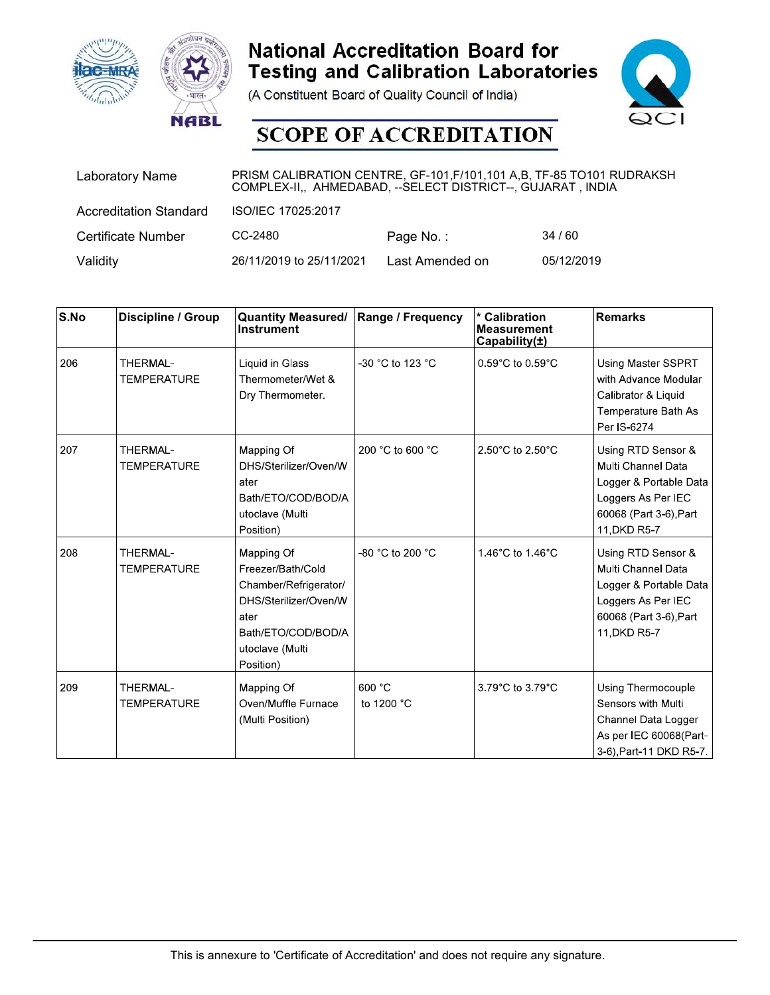





| <b>ac-MRA</b> | <b>NABL</b>                   |                                                                                                                                         | <b>National Accreditation Board for</b><br><b>Testing and Calibration Laboratories</b><br>(A Constituent Board of Quality Council of India)<br><b>SCOPE OF ACCREDITATION</b> |                                                                | QCI                  |
|---------------|-------------------------------|-----------------------------------------------------------------------------------------------------------------------------------------|------------------------------------------------------------------------------------------------------------------------------------------------------------------------------|----------------------------------------------------------------|----------------------|
|               | <b>Laboratory Name</b>        | PRISM CALIBRATION CENTRE, GF-101, F/101, 101 A, B, TF-85 TO101 RUDRAKSH<br>COMPLEX-II,, AHMEDABAD, -- SELECT DISTRICT--, GUJARAT, INDIA |                                                                                                                                                                              |                                                                |                      |
|               | <b>Accreditation Standard</b> | ISO/IEC 17025:2017                                                                                                                      |                                                                                                                                                                              |                                                                |                      |
|               | <b>Certificate Number</b>     | CC-2480                                                                                                                                 | Page No.:                                                                                                                                                                    | 34/60                                                          |                      |
| Validity      |                               | 26/11/2019 to 25/11/2021                                                                                                                | Last Amended on                                                                                                                                                              | 05/12/2019                                                     |                      |
|               |                               |                                                                                                                                         |                                                                                                                                                                              |                                                                |                      |
| S.No          | Discipline / Group            | <b>Quantity Measured/</b><br>Instrument                                                                                                 | Range / Frequency                                                                                                                                                            | <b>Calibration</b><br><b>Measurement</b><br>Capability $(\pm)$ | <b>Remarks</b>       |
| 206           | THERMAL-                      | Liquid in Glass                                                                                                                         | -30 °C to 123 °C                                                                                                                                                             | $0.59^{\circ}$ C to 0.59 $^{\circ}$ C                          | Using Master SSPRT   |
|               | TEMPERATURE                   | Thermometer/Wet &                                                                                                                       |                                                                                                                                                                              |                                                                | with Advance Modular |
|               |                               | Dry Thermometer.                                                                                                                        |                                                                                                                                                                              |                                                                | Calibrator & Liquid  |

|                          | <b>IC-MRA</b><br><b>NABL</b>   |                                                                                                                                                 | <b>National Accreditation Board for</b><br><b>Testing and Calibration Laboratories</b><br>(A Constituent Board of Quality Council of India)<br><b>SCOPE OF ACCREDITATION</b> |                                                      |                                                                                                                                    |
|--------------------------|--------------------------------|-------------------------------------------------------------------------------------------------------------------------------------------------|------------------------------------------------------------------------------------------------------------------------------------------------------------------------------|------------------------------------------------------|------------------------------------------------------------------------------------------------------------------------------------|
|                          | <b>Laboratory Name</b>         | PRISM CALIBRATION CENTRE, GF-101, F/101, 101 A,B, TF-85 TO101 RUDRAKSH<br>COMPLEX-II,, AHMEDABAD, -- SELECT DISTRICT--, GUJARAT, INDIA          |                                                                                                                                                                              |                                                      |                                                                                                                                    |
|                          | <b>Accreditation Standard</b>  | ISO/IEC 17025:2017                                                                                                                              |                                                                                                                                                                              |                                                      |                                                                                                                                    |
|                          | <b>Certificate Number</b>      | CC-2480                                                                                                                                         | Page No.:                                                                                                                                                                    | 34/60                                                |                                                                                                                                    |
| Validity                 |                                | 26/11/2019 to 25/11/2021                                                                                                                        | Last Amended on                                                                                                                                                              | 05/12/2019                                           |                                                                                                                                    |
| $\mathsf{S}.\mathsf{No}$ | Discipline / Group             | <b>Quantity Measured/</b><br><b>Instrument</b>                                                                                                  | Range / Frequency                                                                                                                                                            | * Calibration<br><b>Measurement</b><br>Capability(±) | Remarks                                                                                                                            |
| 206                      | THERMAL-<br><b>TEMPERATURE</b> | Liquid in Glass<br>Thermometer/Wet &<br>Dry Thermometer.                                                                                        | -30 °C to 123 °C                                                                                                                                                             | 0.59°C to 0.59°C                                     | Using Master SSPRT<br>with Advance Modular<br>Calibrator & Liquid<br>Temperature Bath As<br>Per IS-6274                            |
| 207                      | THERMAL-<br><b>TEMPERATURE</b> | Mapping Of<br>DHS/Sterilizer/Oven/W<br>ater<br>Bath/ETO/COD/BOD/A<br>utoclave (Multi<br>Position)                                               | 200 °C to 600 °C                                                                                                                                                             | 2.50°C to 2.50°C                                     | Using RTD Sensor &<br>Multi Channel Data<br>Logger & Portable Data<br>Loggers As Per IEC<br>60068 (Part 3-6), Part<br>11, DKD R5-7 |
| 208                      | THERMAL-<br><b>TEMPERATURE</b> | Mapping Of<br>Freezer/Bath/Cold<br>Chamber/Refrigerator/<br>DHS/Sterilizer/Oven/W<br>ater<br>Bath/ETO/COD/BOD/A<br>utoclave (Multi<br>Position) | -80 °C to 200 °C                                                                                                                                                             | 1.46°C to 1.46°C                                     | Using RTD Sensor &<br>Multi Channel Data<br>Logger & Portable Data<br>Loggers As Per IEC<br>60068 (Part 3-6), Part<br>11, DKD R5-7 |
| 209                      | THERMAL-<br><b>TEMPERATURE</b> | Mapping Of<br>Oven/Muffle Furnace<br>(Multi Position)                                                                                           | 600 °C<br>to 1200 °C                                                                                                                                                         | 3.79°C to 3.79°C                                     | Using Thermocouple<br>Sensors with Multi<br>Channel Data Logger<br>As per IEC 60068(Part-<br>3-6), Part-11 DKD R5-7.               |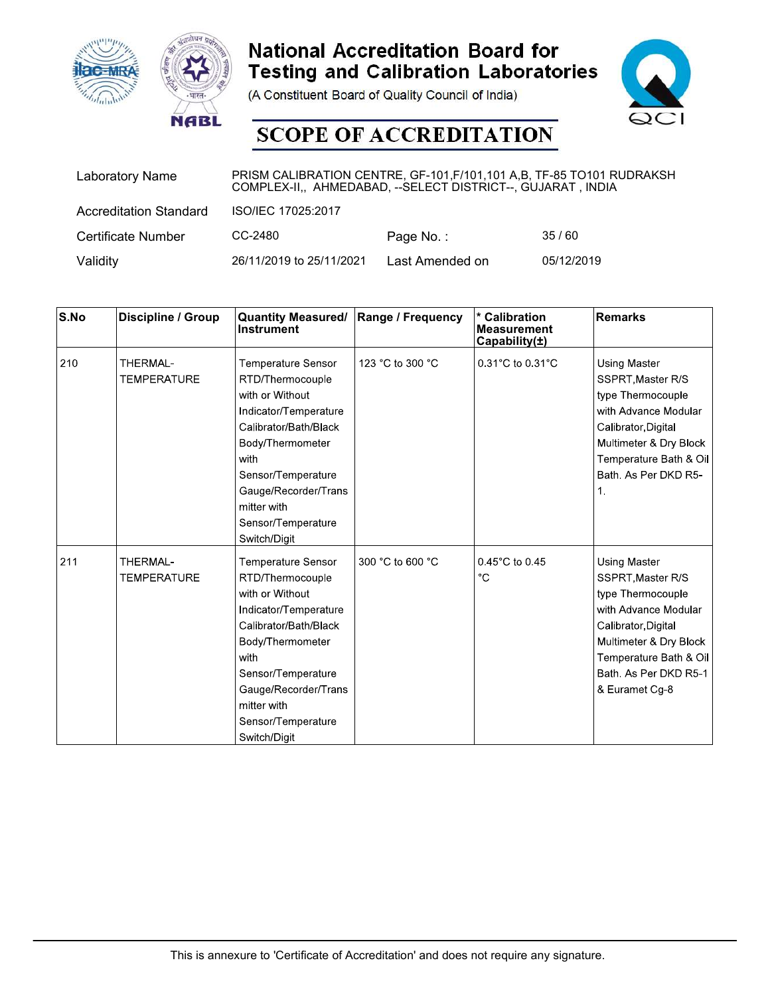





| <b>ac-MRA</b> | <b>NABL</b>                   |                                                                                                                                         | <b>National Accreditation Board for</b><br><b>Testing and Calibration Laboratories</b><br>(A Constituent Board of Quality Council of India)<br><b>SCOPE OF ACCREDITATION</b> |                                                                | QCI                 |  |
|---------------|-------------------------------|-----------------------------------------------------------------------------------------------------------------------------------------|------------------------------------------------------------------------------------------------------------------------------------------------------------------------------|----------------------------------------------------------------|---------------------|--|
|               | <b>Laboratory Name</b>        | PRISM CALIBRATION CENTRE, GF-101, F/101, 101 A, B, TF-85 TO101 RUDRAKSH<br>COMPLEX-II,, AHMEDABAD, -- SELECT DISTRICT--, GUJARAT, INDIA |                                                                                                                                                                              |                                                                |                     |  |
|               | <b>Accreditation Standard</b> | ISO/IEC 17025:2017                                                                                                                      |                                                                                                                                                                              |                                                                |                     |  |
|               | <b>Certificate Number</b>     | CC-2480                                                                                                                                 | Page No.:                                                                                                                                                                    | 35/60                                                          |                     |  |
| Validity      |                               | 26/11/2019 to 25/11/2021                                                                                                                | Last Amended on                                                                                                                                                              | 05/12/2019                                                     |                     |  |
|               |                               |                                                                                                                                         |                                                                                                                                                                              |                                                                |                     |  |
| S.No          | Discipline / Group            | <b>Quantity Measured/</b><br>Instrument                                                                                                 | Range / Frequency                                                                                                                                                            | <b>Calibration</b><br><b>Measurement</b><br>Capability $(\pm)$ | <b>Remarks</b>      |  |
| 210           | THERMAL-                      | Temperature Sensor                                                                                                                      | 123 °C to 300 °C                                                                                                                                                             | 0.31°C to 0.31°C                                               | <b>Using Master</b> |  |
|               | TEMPERATURE                   | RTD/Thermocouple                                                                                                                        |                                                                                                                                                                              |                                                                | SSPRT, Master R/S   |  |
|               |                               | with or Without                                                                                                                         |                                                                                                                                                                              |                                                                | type Thermocouple   |  |

|          | <b>AC-MRA</b><br><b>NABL</b>   |                                                                                                                                                                                                                                            | <b>National Accreditation Board for</b><br><b>Testing and Calibration Laboratories</b><br>(A Constituent Board of Quality Council of India)<br><b>SCOPE OF ACCREDITATION</b> |                                                      |                                                                                                                                                                                                             |
|----------|--------------------------------|--------------------------------------------------------------------------------------------------------------------------------------------------------------------------------------------------------------------------------------------|------------------------------------------------------------------------------------------------------------------------------------------------------------------------------|------------------------------------------------------|-------------------------------------------------------------------------------------------------------------------------------------------------------------------------------------------------------------|
|          | <b>Laboratory Name</b>         | PRISM CALIBRATION CENTRE, GF-101, F/101, 101 A, B, TF-85 TO101 RUDRAKSH<br>COMPLEX-II,, AHMEDABAD, -- SELECT DISTRICT--, GUJARAT, INDIA                                                                                                    |                                                                                                                                                                              |                                                      |                                                                                                                                                                                                             |
|          | <b>Accreditation Standard</b>  | ISO/IEC 17025:2017                                                                                                                                                                                                                         |                                                                                                                                                                              |                                                      |                                                                                                                                                                                                             |
|          | <b>Certificate Number</b>      | CC-2480                                                                                                                                                                                                                                    | Page No.:                                                                                                                                                                    | 35/60                                                |                                                                                                                                                                                                             |
| Validity |                                | 26/11/2019 to 25/11/2021                                                                                                                                                                                                                   | Last Amended on                                                                                                                                                              | 05/12/2019                                           |                                                                                                                                                                                                             |
| S.No     | Discipline / Group             | <b>Quantity Measured/</b><br>Instrument                                                                                                                                                                                                    | <b>Range / Frequency</b>                                                                                                                                                     | * Calibration<br><b>Measurement</b><br>Capability(±) | <b>Remarks</b>                                                                                                                                                                                              |
| 210      | THERMAL-<br><b>TEMPERATURE</b> | Temperature Sensor<br>RTD/Thermocouple<br>with or Without<br>Indicator/Temperature<br>Calibrator/Bath/Black<br>Body/Thermometer<br>with<br>Sensor/Temperature<br>Gauge/Recorder/Trans<br>mitter with<br>Sensor/Temperature<br>Switch/Digit | 123 °C to 300 °C                                                                                                                                                             | $0.31^{\circ}$ C to $0.31^{\circ}$ C                 | <b>Using Master</b><br>SSPRT, Master R/S<br>type Thermocouple<br>with Advance Modular<br>Calibrator, Digital<br>Multimeter & Dry Block<br>Temperature Bath & Oil<br>Bath, As Per DKD R5-<br>$\mathbf{1}$ .  |
| 211      | THERMAL-<br><b>TEMPERATURE</b> | Temperature Sensor<br>RTD/Thermocouple<br>with or Without<br>Indicator/Temperature<br>Calibrator/Bath/Black<br>Body/Thermometer<br>with<br>Sensor/Temperature<br>Gauge/Recorder/Trans<br>mitter with<br>Sensor/Temperature<br>Switch/Digit | 300 °C to 600 °C                                                                                                                                                             | 0.45°C to 0.45<br>$^{\circ}C$                        | <b>Using Master</b><br>SSPRT, Master R/S<br>type Thermocouple<br>with Advance Modular<br>Calibrator, Digital<br>Multimeter & Dry Block<br>Temperature Bath & Oil<br>Bath. As Per DKD R5-1<br>& Euramet Cg-8 |